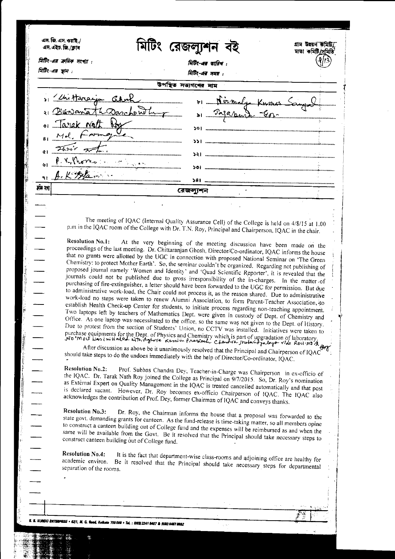| মিটিং-এর ক্রমিক সংখ্যা : |                                                                                                                                                                                       | রেজলাুশন             | মাতা কমিট/সমিতি                                                                                                                                                                                                                      |
|--------------------------|---------------------------------------------------------------------------------------------------------------------------------------------------------------------------------------|----------------------|--------------------------------------------------------------------------------------------------------------------------------------------------------------------------------------------------------------------------------------|
| মিটিং-এর স্থান           |                                                                                                                                                                                       | भिष्टि-अब फाविच:     |                                                                                                                                                                                                                                      |
|                          |                                                                                                                                                                                       | गिरि-अत्र मयस :      |                                                                                                                                                                                                                                      |
|                          |                                                                                                                                                                                       | উপস্থিত সভ্যগণের নাম |                                                                                                                                                                                                                                      |
| 1 Chiffereign Cabrel     |                                                                                                                                                                                       |                      | 01 _ Niemalya Kumas Sang &                                                                                                                                                                                                           |
| 1 Buranth Darchentug     |                                                                                                                                                                                       |                      | a Pagarant Gro                                                                                                                                                                                                                       |
| . Tarak Nott Pox         |                                                                                                                                                                                       |                      |                                                                                                                                                                                                                                      |
| Mol. Framgue             |                                                                                                                                                                                       |                      |                                                                                                                                                                                                                                      |
|                          |                                                                                                                                                                                       |                      |                                                                                                                                                                                                                                      |
| Think of                 |                                                                                                                                                                                       |                      |                                                                                                                                                                                                                                      |
| P.V. Thores              | 。<br>第二章 <b>本</b> <sup>集。</sup>                                                                                                                                                       |                      |                                                                                                                                                                                                                                      |
|                          |                                                                                                                                                                                       |                      |                                                                                                                                                                                                                                      |
| र्मन देश                 |                                                                                                                                                                                       | রেজল্যশন             |                                                                                                                                                                                                                                      |
|                          |                                                                                                                                                                                       |                      |                                                                                                                                                                                                                                      |
|                          |                                                                                                                                                                                       |                      |                                                                                                                                                                                                                                      |
|                          |                                                                                                                                                                                       |                      | The meeting of IQAC (Internal Quality Assurance Cell) of the College is held on 4/8/15 at 1.00                                                                                                                                       |
|                          | p.m in the IQAC room of the College with Dr. T.N. Roy, Principal and Chairperson, IQAC in the chair.                                                                                  |                      |                                                                                                                                                                                                                                      |
| <b>Resolution No.1:</b>  |                                                                                                                                                                                       |                      | At the very beginning of the meeting discussion have been made on the                                                                                                                                                                |
|                          |                                                                                                                                                                                       |                      | proceedings of the last meeting. Dr. Chittaranjan Ghosh, Director/Co-ordinator, IQAC informs the house                                                                                                                               |
|                          |                                                                                                                                                                                       |                      | that no grants were allotted by the UGC in connection with proposed National Seminar on 'The Green                                                                                                                                   |
|                          |                                                                                                                                                                                       |                      | Chemistry: to protect Mother Earth'. So, the seminar couldn't be organized. Regarding not publishing of                                                                                                                              |
|                          |                                                                                                                                                                                       |                      | proposed journal namely 'Women and Identity' and 'Quad Scientific Reporter', it is revealed that the                                                                                                                                 |
|                          |                                                                                                                                                                                       |                      | journals could not be published due to gross irresponsibility of the in-charges. In the matter of                                                                                                                                    |
|                          |                                                                                                                                                                                       |                      | purchasing of fire-extinguisher, a letter should have been forwarded to the UGC for permission. But due                                                                                                                              |
|                          |                                                                                                                                                                                       |                      | to administrative work-load, the Chair could not process it, as the reason shared. Due to administrative                                                                                                                             |
|                          | work-load no steps were taken to renew Alumni Association, to form Parent-Teacher Association, to                                                                                     |                      |                                                                                                                                                                                                                                      |
|                          |                                                                                                                                                                                       |                      |                                                                                                                                                                                                                                      |
|                          |                                                                                                                                                                                       |                      |                                                                                                                                                                                                                                      |
|                          |                                                                                                                                                                                       |                      | establish Health Check-up Center for students, to initiate process regarding non-teaching appointment.                                                                                                                               |
|                          |                                                                                                                                                                                       |                      | Two laptops left by teachers of Mathematics Dept. were given in custody of Dept. of Chemistry and                                                                                                                                    |
|                          | Office. As one laptop was necessitated to the office, so the same was not given to the Dept. of History.                                                                              |                      |                                                                                                                                                                                                                                      |
|                          | Due to protest from the section of Students' Union, no CCTV was installed. Initiatives were taken to                                                                                  |                      |                                                                                                                                                                                                                                      |
|                          |                                                                                                                                                                                       |                      |                                                                                                                                                                                                                                      |
|                          | After discussion as above be it unanimously resolved that the Principal and Chairperson of IQAC                                                                                       |                      |                                                                                                                                                                                                                                      |
|                          | should take steps to do the undoes immediately with the help of Director/Co-ordinator, IQAC.                                                                                          |                      |                                                                                                                                                                                                                                      |
| <b>Resolution No.2:</b>  |                                                                                                                                                                                       |                      |                                                                                                                                                                                                                                      |
|                          |                                                                                                                                                                                       |                      | Prof. Subhas Chandra Dey, Teacher-in-Charge was Chairperson in ex-officio of                                                                                                                                                         |
|                          | the IQAC. Dr. Tarak Nath Roy joined the College as Principal on 9/7/2015. So, Dr. Roy's nomination                                                                                    |                      |                                                                                                                                                                                                                                      |
|                          | as External Expert on Quality Management in the IQAC is treated cancelled automatically and that post                                                                                 |                      |                                                                                                                                                                                                                                      |
|                          | is declared vacant. However, Dr. Roy becomes ex-officio Chairperson of IQAC. The IQAC also<br>acknowledges the contribution of Prof. Dey, former Chairman of IQAC and conveys thanks. |                      |                                                                                                                                                                                                                                      |
| <b>Resolution No.3:</b>  |                                                                                                                                                                                       |                      |                                                                                                                                                                                                                                      |
|                          |                                                                                                                                                                                       |                      | Dr. Roy, the Chairman informs the house that a proposal was forwarded to the                                                                                                                                                         |
|                          | state govt. demanding grants for canteen. As the fund-release is time-taking matter, so all members opine                                                                             |                      |                                                                                                                                                                                                                                      |
|                          | to construct a canteen building out of College fund and the expenses will be reimbursed as and when the                                                                               |                      |                                                                                                                                                                                                                                      |
|                          | same will be available from the Govt. Be it resolved that the Principal should take necessary steps to<br>construct canteen building out of College fund.                             |                      |                                                                                                                                                                                                                                      |
|                          |                                                                                                                                                                                       |                      |                                                                                                                                                                                                                                      |
| <b>Resolution No.4:</b>  | It is the fact that department-wise class-rooms and adjoining office are healthy for                                                                                                  |                      |                                                                                                                                                                                                                                      |
| academic environ.        | Be it resolved that the Principal should take necessary steps for departmental                                                                                                        |                      | Due to protest from the section of substitutions, the state of upgradation of laboratory.<br>Durchase equipments for the Dept. of Physics and Chemistry which is part of upgradation of laboratory.<br>No mou was initiated with Agh |
| separation of the rooms. |                                                                                                                                                                                       |                      |                                                                                                                                                                                                                                      |
|                          |                                                                                                                                                                                       |                      |                                                                                                                                                                                                                                      |
|                          |                                                                                                                                                                                       |                      |                                                                                                                                                                                                                                      |

 $\zeta(s)$ 

.<br>B. B. KURIDU ENTERPRISE + 62/1, M. G. Reed, Kolkata 700 009 + Tel. : (933) 2241 9407 & (033) 8487 8852

and the construction of the control of the control of the control of the control of the control of the control of the control of the control of the control of the control of the control of the control of the control of the

The property of the contract of the contract of the contract of the contract of the contract of the contract of the contract of the contract of the contract of the contract of the contract of the contract of the contract o

The Maria Part